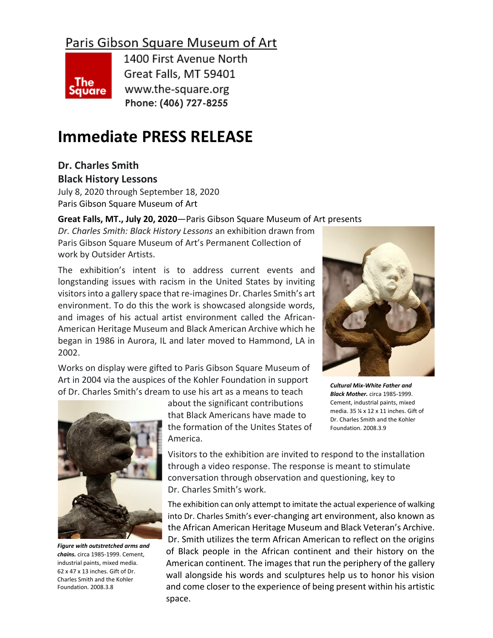# Paris Gibson Square Museum of Art



1400 First Avenue North Great Falls, MT 59401 www.the-square.org **Phone: (406) 727-8255**

# **Immediate PRESS RELEASE**

**Dr. Charles Smith**

**Black History Lessons**

July 8, 2020 through September 18, 2020 Paris Gibson Square Museum of Art

## **Great Falls, MT., July 20, 2020**—Paris Gibson Square Museum of Art presents

*Dr. Charles Smith: Black History Lessons* an exhibition drawn from Paris Gibson Square Museum of Art's Permanent Collection of work by Outsider Artists.

The exhibition's intent is to address current events and longstanding issues with racism in the United States by inviting visitors into a gallery space that re-imagines Dr. Charles Smith's art environment. To do this the work is showcased alongside words, and images of his actual artist environment called the African-American Heritage Museum and Black American Archive which he began in 1986 in Aurora, IL and later moved to Hammond, LA in 2002.

Works on display were gifted to Paris Gibson Square Museum of Art in 2004 via the auspices of the Kohler Foundation in support of Dr. Charles Smith's dream to use his art as a means to teach



*Figure with outstretched arms and chains.* circa 1985-1999. Cement, industrial paints, mixed media. 62 x 47 x 13 inches. Gift of Dr. Charles Smith and the Kohler Foundation. 2008.3.8

about the significant contributions that Black Americans have made to the formation of the Unites States of America.

*Cultural Mix-White Father and Black Mother.* circa 1985-1999. Cement, industrial paints, mixed media. 35 ¼ x 12 x 11 inches. Gift of Dr. Charles Smith and the Kohler Foundation. 2008.3.9

Visitors to the exhibition are invited to respond to the installation through a video response. The response is meant to stimulate conversation through observation and questioning, key to Dr. Charles Smith's work.

The exhibition can only attempt to imitate the actual experience of walking into Dr. Charles Smith's ever-changing art environment, also known as the African American Heritage Museum and Black Veteran's Archive. Dr. Smith utilizes the term African American to reflect on the origins of Black people in the African continent and their history on the American continent. The images that run the periphery of the gallery wall alongside his words and sculptures help us to honor his vision and come closer to the experience of being present within his artistic space.